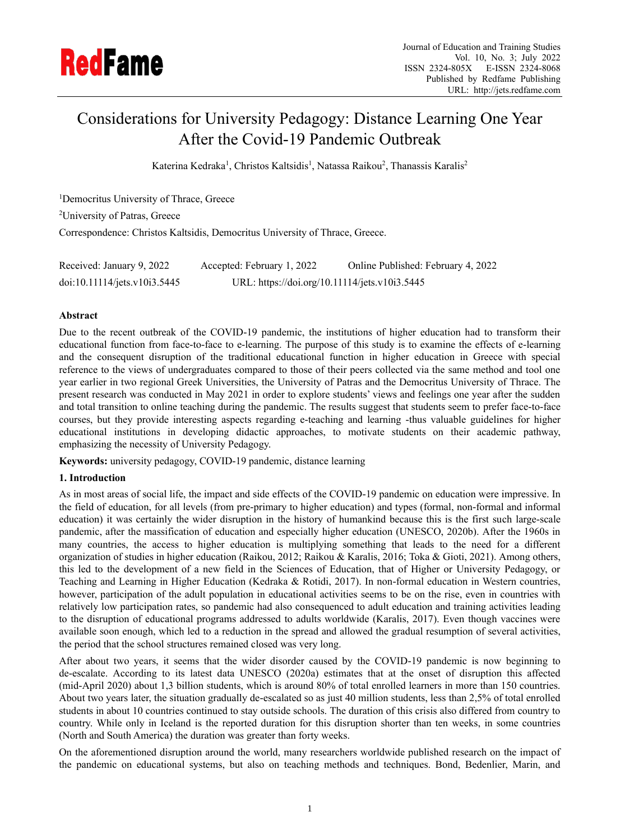

# Considerations for University Pedagogy: Distance Learning One Year After the Covid-19 Pandemic Outbreak

Katerina Kedraka<sup>1</sup>, Christos Kaltsidis<sup>1</sup>, Natassa Raikou<sup>2</sup>, Thanassis Karalis<sup>2</sup>

<sup>1</sup>Democritus University of Thrace, Greece <sup>2</sup>University of Patras, Greece Correspondence: Christos Kaltsidis, Democritus University of Thrace, Greece.

| Received: January 9, 2022    | Accepted: February 1, 2022                    | Online Published: February 4, 2022 |
|------------------------------|-----------------------------------------------|------------------------------------|
| doi:10.11114/jets.v10i3.5445 | URL: https://doi.org/10.11114/jets.v10i3.5445 |                                    |

# **Abstract**

Due to the recent outbreak of the COVID-19 pandemic, the institutions of higher education had to transform their educational function from face-to-face to e-learning. The purpose of this study is to examine the effects of e-learning and the consequent disruption of the traditional educational function in higher education in Greece with special reference to the views of undergraduates compared to those of their peers collected via the same method and tool one year earlier in two regional Greek Universities, the University of Patras and the Democritus University of Thrace. The present research was conducted in May 2021 in order to explore students' views and feelings one year after the sudden and total transition to online teaching during the pandemic. The results suggest that students seem to prefer face-to-face courses, but they provide interesting aspects regarding e-teaching and learning -thus valuable guidelines for higher educational institutions in developing didactic approaches, to motivate students on their academic pathway, emphasizing the necessity of University Pedagogy.

**Keywords:** university pedagogy, COVID-19 pandemic, distance learning

# **1. Introduction**

As in most areas of social life, the impact and side effects of the COVID-19 pandemic on education were impressive. In the field of education, for all levels (from pre-primary to higher education) and types (formal, non-formal and informal education) it was certainly the wider disruption in the history of humankind because this is the first such large-scale pandemic, after the massification of education and especially higher education (UNESCO, 2020b). After the 1960s in many countries, the access to higher education is multiplying something that leads to the need for a different organization of studies in higher education (Raikou, 2012; Raikou & Karalis, 2016; Toka & Gioti, 2021). Among others, this led to the development of a new field in the Sciences of Education, that of Higher or University Pedagogy, or Teaching and Learning in Higher Education (Kedraka & Rotidi, 2017). In non-formal education in Western countries, however, participation of the adult population in educational activities seems to be on the rise, even in countries with relatively low participation rates, so pandemic had also consequenced to adult education and training activities leading to the disruption of educational programs addressed to adults worldwide (Karalis, 2017). Even though vaccines were available soon enough, which led to a reduction in the spread and allowed the gradual resumption of several activities, the period that the school structures remained closed was very long.

After about two years, it seems that the wider disorder caused by the COVID-19 pandemic is now beginning to de-escalate. According to its latest data UNESCO (2020a) estimates that at the onset of disruption this affected (mid-April 2020) about 1,3 billion students, which is around 80% of total enrolled learners in more than 150 countries. About two years later, the situation gradually de-escalated so as just 40 million students, less than 2,5% of total enrolled students in about 10 countries continued to stay outside schools. The duration of this crisis also differed from country to country. While only in Iceland is the reported duration for this disruption shorter than ten weeks, in some countries (North and South America) the duration was greater than forty weeks.

On the aforementioned disruption around the world, many researchers worldwide published research on the impact of the pandemic on educational systems, but also on teaching methods and techniques. Bond, Bedenlier, Marin, and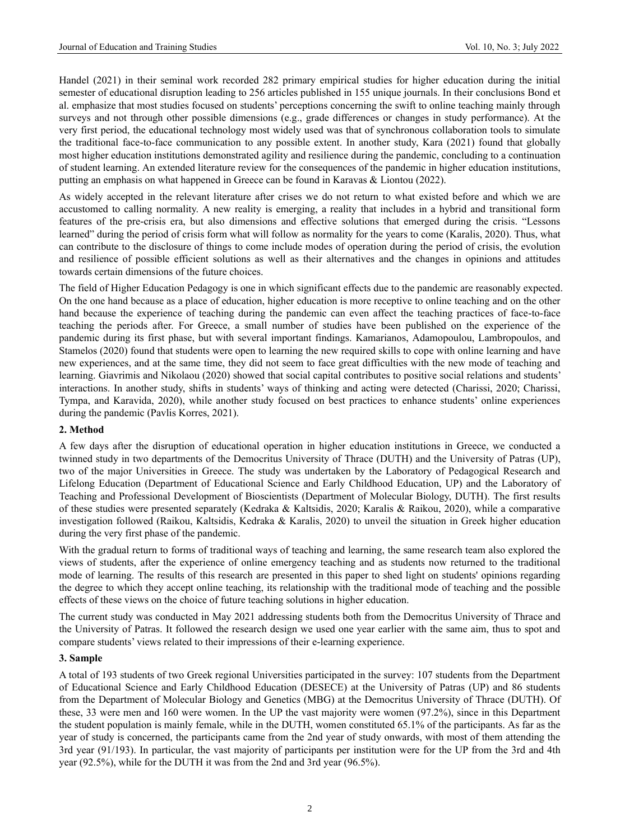Handel (2021) in their seminal work recorded 282 primary empirical studies for higher education during the initial semester of educational disruption leading to 256 articles published in 155 unique journals. In their conclusions Bond et al. emphasize that most studies focused on students' perceptions concerning the swift to online teaching mainly through surveys and not through other possible dimensions (e.g., grade differences or changes in study performance). At the very first period, the educational technology most widely used was that of synchronous collaboration tools to simulate the traditional face-to-face communication to any possible extent. In another study, Kara (2021) found that globally most higher education institutions demonstrated agility and resilience during the pandemic, concluding to a continuation of student learning. An extended literature review for the consequences of the pandemic in higher education institutions, putting an emphasis on what happened in Greece can be found in Karavas & Liontou (2022).

As widely accepted in the relevant literature after crises we do not return to what existed before and which we are accustomed to calling normality. A new reality is emerging, a reality that includes in a hybrid and transitional form features of the pre-crisis era, but also dimensions and effective solutions that emerged during the crisis. "Lessons learned" during the period of crisis form what will follow as normality for the years to come (Karalis, 2020). Thus, what can contribute to the disclosure of things to come include modes of operation during the period of crisis, the evolution and resilience of possible efficient solutions as well as their alternatives and the changes in opinions and attitudes towards certain dimensions of the future choices.

The field of Higher Education Pedagogy is one in which significant effects due to the pandemic are reasonably expected. On the one hand because as a place of education, higher education is more receptive to online teaching and on the other hand because the experience of teaching during the pandemic can even affect the teaching practices of face-to-face teaching the periods after. For Greece, a small number of studies have been published on the experience of the pandemic during its first phase, but with several important findings. Kamarianos, Adamopoulou, Lambropoulos, and Stamelos (2020) found that students were open to learning the new required skills to cope with online learning and have new experiences, and at the same time, they did not seem to face great difficulties with the new mode of teaching and learning. Giavrimis and Nikolaou (2020) showed that social capital contributes to positive social relations and students' interactions. In another study, shifts in students' ways of thinking and acting were detected (Charissi, 2020; Charissi, Tympa, and Karavida, 2020), while another study focused on best practices to enhance students' online experiences during the pandemic (Pavlis Korres, 2021).

#### **2. Method**

A few days after the disruption of educational operation in higher education institutions in Greece, we conducted a twinned study in two departments of the Democritus University of Thrace (DUTH) and the University of Patras (UP), two of the major Universities in Greece. The study was undertaken by the Laboratory of Pedagogical Research and Lifelong Education (Department of Educational Science and Early Childhood Education, UP) and the Laboratory of Teaching and Professional Development of Bioscientists (Department of Molecular Biology, DUTH). The first results of these studies were presented separately (Kedraka & Kaltsidis, 2020; Karalis & Raikou, 2020), while a comparative investigation followed (Raikou, Kaltsidis, Kedraka & Karalis, 2020) to unveil the situation in Greek higher education during the very first phase of the pandemic.

With the gradual return to forms of traditional ways of teaching and learning, the same research team also explored the views of students, after the experience of online emergency teaching and as students now returned to the traditional mode of learning. The results of this research are presented in this paper to shed light on students' opinions regarding the degree to which they accept online teaching, its relationship with the traditional mode of teaching and the possible effects of these views on the choice of future teaching solutions in higher education.

The current study was conducted in May 2021 addressing students both from the Democritus University of Thrace and the University of Patras. It followed the research design we used one year earlier with the same aim, thus to spot and compare students' views related to their impressions of their e-learning experience.

#### **3. Sample**

A total of 193 students of two Greek regional Universities participated in the survey: 107 students from the Department of Educational Science and Early Childhood Education (DESECE) at the University of Patras (UP) and 86 students from the Department of Molecular Biology and Genetics (MBG) at the Democritus University of Thrace (DUTH). Of these, 33 were men and 160 were women. In the UP the vast majority were women (97.2%), since in this Department the student population is mainly female, while in the DUTH, women constituted 65.1% of the participants. As far as the year of study is concerned, the participants came from the 2nd year of study onwards, with most of them attending the 3rd year (91/193). In particular, the vast majority of participants per institution were for the UP from the 3rd and 4th year (92.5%), while for the DUTH it was from the 2nd and 3rd year (96.5%).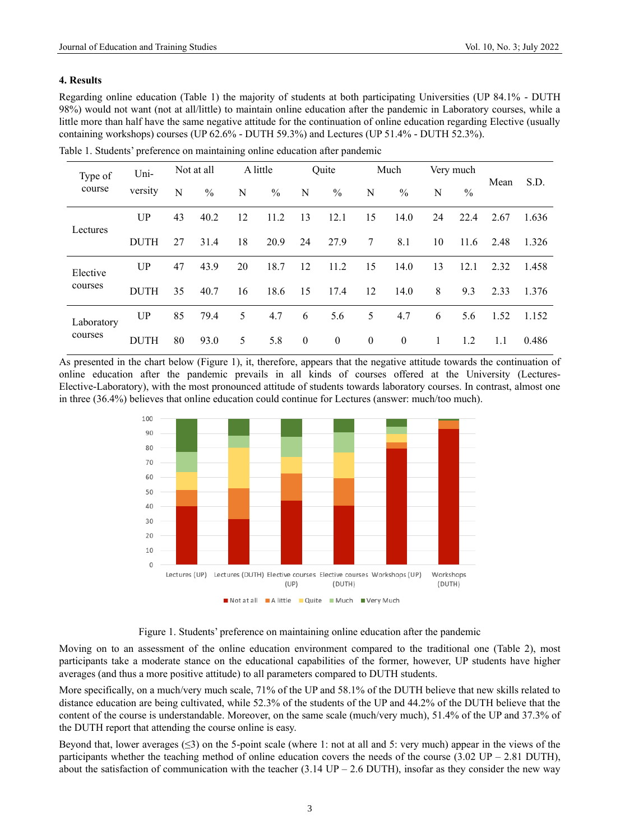## **4. Results**

Regarding online education (Table 1) the majority of students at both participating Universities (UP 84.1% - DUTH 98%) would not want (not at all/little) to maintain online education after the pandemic in Laboratory courses, while a little more than half have the same negative attitude for the continuation of online education regarding Elective (usually containing workshops) courses (UP 62.6% - DUTH 59.3%) and Lectures (UP 51.4% - DUTH 52.3%).

Table 1. Students' preference on maintaining online education after pandemic

| Type of    | Uni-        | Not at all |               |    | A little |              | Quite         |              | Much          | Very much |               |      | S.D.  |
|------------|-------------|------------|---------------|----|----------|--------------|---------------|--------------|---------------|-----------|---------------|------|-------|
| course     | versity     | N          | $\frac{0}{0}$ | N  | $\%$     | N            | $\frac{0}{0}$ | N            | $\frac{0}{0}$ | N         | $\frac{0}{0}$ | Mean |       |
|            | UP          | 43         | 40.2          | 12 | 11.2     | 13           | 12.1          | 15           | 14.0          | 24        | 22.4          | 2.67 | 1.636 |
| Lectures   | <b>DUTH</b> | 27         | 31.4          | 18 | 20.9     | 24           | 27.9          | 7            | 8.1           | 10        | 11.6          | 2.48 | 1.326 |
| Elective   | UP          | 47         | 43.9          | 20 | 18.7     | 12           | 11.2          | 15           | 14.0          | 13        | 12.1          | 2.32 | 1.458 |
| courses    | <b>DUTH</b> | 35         | 40.7          | 16 | 18.6     | 15           | 17.4          | 12           | 14.0          | 8         | 9.3           | 2.33 | 1.376 |
| Laboratory | UP          | 85         | 79.4          | 5  | 4.7      | 6            | 5.6           | 5            | 4.7           | 6         | 5.6           | 1.52 | 1.152 |
| courses    | <b>DUTH</b> | 80         | 93.0          | 5  | 5.8      | $\mathbf{0}$ | $\mathbf{0}$  | $\mathbf{0}$ | $\mathbf{0}$  |           | 1.2           | 1.1  | 0.486 |

As presented in the chart below (Figure 1), it, therefore, appears that the negative attitude towards the continuation of online education after the pandemic prevails in all kinds of courses offered at the University (Lectures-Elective-Laboratory), with the most pronounced attitude of students towards laboratory courses. In contrast, almost one in three (36.4%) believes that online education could continue for Lectures (answer: much/too much).



Figure 1. Students' preference on maintaining online education after the pandemic

Moving on to an assessment of the online education environment compared to the traditional one (Table 2), most participants take a moderate stance on the educational capabilities of the former, however, UP students have higher averages (and thus a more positive attitude) to all parameters compared to DUTH students.

More specifically, on a much/very much scale, 71% of the UP and 58.1% of the DUTH believe that new skills related to distance education are being cultivated, while 52.3% of the students of the UP and 44.2% of the DUTH believe that the content of the course is understandable. Moreover, on the same scale (much/very much), 51.4% of the UP and 37.3% of the DUTH report that attending the course online is easy.

Beyond that, lower averages  $(\leq 3)$  on the 5-point scale (where 1: not at all and 5: very much) appear in the views of the participants whether the teaching method of online education covers the needs of the course  $(3.02 \text{ UP} - 2.81 \text{ DUTH})$ , about the satisfaction of communication with the teacher (3.14 UP – 2.6 DUTH), insofar as they consider the new way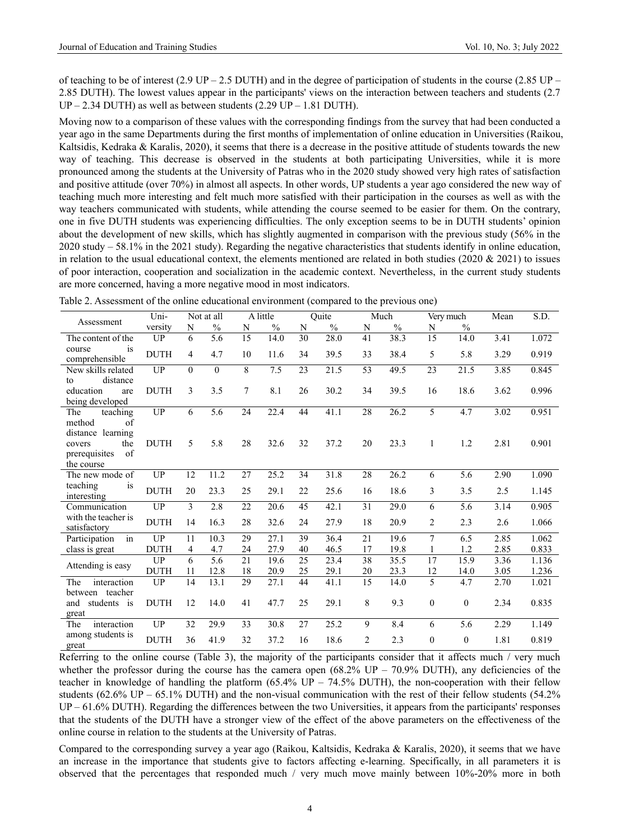of teaching to be of interest (2.9 UP – 2.5 DUTH) and in the degree of participation of students in the course (2.85 UP – 2.85 DUTH). The lowest values appear in the participants' views on the interaction between teachers and students (2.7  $UP - 2.34$  DUTH) as well as between students (2.29 UP – 1.81 DUTH).

Moving now to a comparison of these values with the corresponding findings from the survey that had been conducted a year ago in the same Departments during the first months of implementation of online education in Universities (Raikou, Kaltsidis, Kedraka & Karalis, 2020), it seems that there is a decrease in the positive attitude of students towards the new way of teaching. This decrease is observed in the students at both participating Universities, while it is more pronounced among the students at the University of Patras who in the 2020 study showed very high rates of satisfaction and positive attitude (over 70%) in almost all aspects. In other words, UP students a year ago considered the new way of teaching much more interesting and felt much more satisfied with their participation in the courses as well as with the way teachers communicated with students, while attending the course seemed to be easier for them. On the contrary, one in five DUTH students was experiencing difficulties. The only exception seems to be in DUTH students' opinion about the development of new skills, which has slightly augmented in comparison with the previous study (56% in the 2020 study – 58.1% in the 2021 study). Regarding the negative characteristics that students identify in online education, in relation to the usual educational context, the elements mentioned are related in both studies (2020  $& 2021$ ) to issues of poor interaction, cooperation and socialization in the academic context. Nevertheless, in the current study students are more concerned, having a more negative mood in most indicators.

| Assessment                                                              | Uni-        |               | Not at all       |    | A little      |    | Ouite         |                | Much          |                | Very much         | Mean | S.D.  |
|-------------------------------------------------------------------------|-------------|---------------|------------------|----|---------------|----|---------------|----------------|---------------|----------------|-------------------|------|-------|
|                                                                         | versity     | N             | $\%$             | N  | $\frac{0}{0}$ | N  | $\frac{0}{0}$ | N              | $\frac{0}{0}$ | N              | $\%$              |      |       |
| The content of the                                                      | UP          | 6             | $\overline{5.6}$ | 15 | 14.0          | 30 | 28.0          | 41             | 38.3          | 15             | 14.0              | 3.41 | 1.072 |
| is<br>course<br>comprehensible                                          | <b>DUTH</b> | 4             | 4.7              | 10 | 11.6          | 34 | 39.5          | 33             | 38.4          | 5              | 5.8               | 3.29 | 0.919 |
| New skills related<br>distance<br>to                                    | UP          | $\Omega$      | $\Omega$         | 8  | 7.5           | 23 | 21.5          | 53             | 49.5          | 23             | $\overline{21.5}$ | 3.85 | 0.845 |
| education<br>are<br>being developed                                     | <b>DUTH</b> | $\mathcal{E}$ | 3.5              | 7  | 8.1           | 26 | 30.2          | 34             | 39.5          | 16             | 18.6              | 3.62 | 0.996 |
| teaching<br>The<br>method<br>of                                         | <b>UP</b>   | 6             | $\overline{5.6}$ | 24 | 22.4          | 44 | 41.1          | 28             | 26.2          | 5              | 4.7               | 3.02 | 0.951 |
| distance learning<br>the<br>covers<br>prerequisites<br>of<br>the course | <b>DUTH</b> | 5             | 5.8              | 28 | 32.6          | 32 | 37.2          | 20             | 23.3          | 1              | 1.2               | 2.81 | 0.901 |
| The new mode of                                                         | UP          | 12            | 11.2             | 27 | 25.2          | 34 | 31.8          | 28             | 26.2          | 6              | 5.6               | 2.90 | 1.090 |
| teaching<br>is<br>interesting                                           | <b>DUTH</b> | 20            | 23.3             | 25 | 29.1          | 22 | 25.6          | 16             | 18.6          | 3              | 3.5               | 2.5  | 1.145 |
| Communication                                                           | UP          | 3             | 2.8              | 22 | 20.6          | 45 | 42.1          | 31             | 29.0          | 6              | 5.6               | 3.14 | 0.905 |
| with the teacher is<br>satisfactory                                     | <b>DUTH</b> | 14            | 16.3             | 28 | 32.6          | 24 | 27.9          | 18             | 20.9          | $\overline{c}$ | 2.3               | 2.6  | 1.066 |
| $\overline{\text{in}}$<br>Participation                                 | <b>UP</b>   | 11            | 10.3             | 29 | 27.1          | 39 | 36.4          | 21             | 19.6          | $\overline{7}$ | 6.5               | 2.85 | 1.062 |
| class is great                                                          | <b>DUTH</b> | 4             | 4.7              | 24 | 27.9          | 40 | 46.5          | 17             | 19.8          |                | 1.2               | 2.85 | 0.833 |
| Attending is easy                                                       | <b>UP</b>   | 6             | 5.6              | 21 | 19.6          | 25 | 23.4          | 38             | 35.5          | 17             | 15.9              | 3.36 | 1.136 |
|                                                                         | <b>DUTH</b> | 11            | 12.8             | 18 | 20.9          | 25 | 29.1          | 20             | 23.3          | 12             | 14.0              | 3.05 | 1.236 |
| The<br>interaction<br>between teacher                                   | UP          | 14            | 13.1             | 29 | 27.1          | 44 | 41.1          | 15             | 14.0          | 5              | 4.7               | 2.70 | 1.021 |
| and<br>students is<br>great                                             | <b>DUTH</b> | 12            | 14.0             | 41 | 47.7          | 25 | 29.1          | 8              | 9.3           | $\mathbf{0}$   | $\mathbf{0}$      | 2.34 | 0.835 |
| interaction<br>The                                                      | <b>UP</b>   | 32            | 29.9             | 33 | 30.8          | 27 | 25.2          | 9              | 8.4           | 6              | 5.6               | 2.29 | 1.149 |
| among students is<br>great                                              | <b>DUTH</b> | 36            | 41.9             | 32 | 37.2          | 16 | 18.6          | $\overline{c}$ | 2.3           | $\theta$       | $\theta$          | 1.81 | 0.819 |

Table 2. Assessment of the online educational environment (compared to the previous one)

Referring to the online course (Table 3), the majority of the participants consider that it affects much / very much whether the professor during the course has the camera open  $(68.2\% \text{ UP} - 70.9\% \text{ DUTH})$ , any deficiencies of the teacher in knowledge of handling the platform  $(65.4\% \text{ UP} - 74.5\% \text{ DUTH})$ , the non-cooperation with their fellow students (62.6% UP – 65.1% DUTH) and the non-visual communication with the rest of their fellow students (54.2% UP – 61.6% DUTH). Regarding the differences between the two Universities, it appears from the participants' responses that the students of the DUTH have a stronger view of the effect of the above parameters on the effectiveness of the online course in relation to the students at the University of Patras.

Compared to the corresponding survey a year ago (Raikou, Kaltsidis, Kedraka & Karalis, 2020), it seems that we have an increase in the importance that students give to factors affecting e-learning. Specifically, in all parameters it is observed that the percentages that responded much / very much move mainly between 10%-20% more in both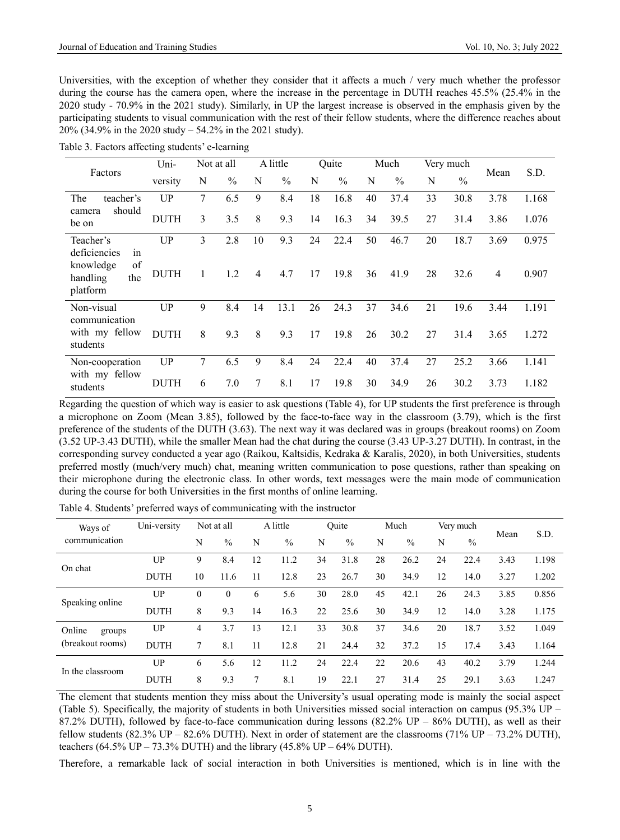Universities, with the exception of whether they consider that it affects a much / very much whether the professor during the course has the camera open, where the increase in the percentage in DUTH reaches 45.5% (25.4% in the 2020 study - 70.9% in the 2021 study). Similarly, in UP the largest increase is observed in the emphasis given by the participating students to visual communication with the rest of their fellow students, where the difference reaches about 20% (34.9% in the 2020 study – 54.2% in the 2021 study).

| Table 3. Factors affecting students' e-learning |  |
|-------------------------------------------------|--|
|-------------------------------------------------|--|

|                                                                      | Uni-        |        | Not at all    |                | A little      |    | Quite         |    | Much          | Very much |               | Mean | S.D.  |
|----------------------------------------------------------------------|-------------|--------|---------------|----------------|---------------|----|---------------|----|---------------|-----------|---------------|------|-------|
| Factors                                                              | versity     | N      | $\frac{0}{0}$ | N              | $\frac{0}{0}$ | N  | $\frac{0}{0}$ | N  | $\frac{0}{0}$ | N         | $\frac{0}{0}$ |      |       |
| teacher's<br>The                                                     | UP          | $\tau$ | 6.5           | 9              | 8.4           | 18 | 16.8          | 40 | 37.4          | 33        | 30.8          | 3.78 | 1.168 |
| should<br>camera<br>be on                                            | <b>DUTH</b> | 3      | 3.5           | 8              | 9.3           | 14 | 16.3          | 34 | 39.5          | 27        | 31.4          | 3.86 | 1.076 |
| Teacher's                                                            | UP          | 3      | 2.8           | 10             | 9.3           | 24 | 22.4          | 50 | 46.7          | 20        | 18.7          | 3.69 | 0.975 |
| deficiencies<br>1n<br>of<br>knowledge<br>the<br>handling<br>platform | <b>DUTH</b> |        | 1.2           | $\overline{4}$ | 4.7           | 17 | 19.8          | 36 | 41.9          | 28        | 32.6          | 4    | 0.907 |
| Non-visual                                                           | UP          | 9      | 8.4           | 14             | 13.1          | 26 | 24.3          | 37 | 34.6          | 21        | 19.6          | 3.44 | 1.191 |
| communication<br>with my fellow<br>students                          | <b>DUTH</b> | 8      | 9.3           | 8              | 9.3           | 17 | 19.8          | 26 | 30.2          | 27        | 31.4          | 3.65 | 1.272 |
| Non-cooperation                                                      | <b>UP</b>   | 7      | 6.5           | 9              | 8.4           | 24 | 22.4          | 40 | 37.4          | 27        | 25.2          | 3.66 | 1.141 |
| with my fellow<br>students                                           | <b>DUTH</b> | 6      | 7.0           | 7              | 8.1           | 17 | 19.8          | 30 | 34.9          | 26        | 30.2          | 3.73 | 1.182 |

Regarding the question of which way is easier to ask questions (Table 4), for UP students the first preference is through a microphone on Zoom (Mean 3.85), followed by the face-to-face way in the classroom (3.79), which is the first preference of the students of the DUTH (3.63). The next way it was declared was in groups (breakout rooms) on Zoom (3.52 UP-3.43 DUTH), while the smaller Mean had the chat during the course (3.43 UP-3.27 DUTH). In contrast, in the corresponding survey conducted a year ago (Raikou, Kaltsidis, Kedraka & Karalis, 2020), in both Universities, students preferred mostly (much/very much) chat, meaning written communication to pose questions, rather than speaking on their microphone during the electronic class. In other words, text messages were the main mode of communication during the course for both Universities in the first months of online learning.

| Ways of          | Uni-versity |          | Not at all    |    | A little      | Ouite |               | Much |               | Very much |               | Mean | S.D.  |
|------------------|-------------|----------|---------------|----|---------------|-------|---------------|------|---------------|-----------|---------------|------|-------|
| communication    |             | N        | $\frac{0}{0}$ | N  | $\frac{0}{0}$ | N     | $\frac{0}{0}$ | N    | $\frac{0}{0}$ | N         | $\frac{0}{0}$ |      |       |
|                  | UP          | 9        | 8.4           | 12 | 11.2          | 34    | 31.8          | 28   | 26.2          | 24        | 22.4          | 3.43 | 1.198 |
| On chat          | <b>DUTH</b> | 10       | 11.6          | 11 | 12.8          | 23    | 26.7          | 30   | 34.9          | 12        | 14.0          | 3.27 | 1.202 |
|                  | UP          | $\theta$ | $\theta$      | 6  | 5.6           | 30    | 28.0          | 45   | 42.1          | 26        | 24.3          | 3.85 | 0.856 |
| Speaking online  | <b>DUTH</b> | 8        | 9.3           | 14 | 16.3          | 22    | 25.6          | 30   | 34.9          | 12        | 14.0          | 3.28 | 1.175 |
| Online<br>groups | UP          | 4        | 3.7           | 13 | 12.1          | 33    | 30.8          | 37   | 34.6          | 20        | 18.7          | 3.52 | 1.049 |
| (breakout rooms) | <b>DUTH</b> |          | 8.1           | 11 | 12.8          | 21    | 24.4          | 32   | 37.2          | 15        | 17.4          | 3.43 | 1.164 |
|                  | UP          | 6        | 5.6           | 12 | 11.2          | 24    | 22.4          | 22   | 20.6          | 43        | 40.2          | 3.79 | 1.244 |
| In the classroom | <b>DUTH</b> | 8        | 9.3           | 7  | 8.1           | 19    | 22.1          | 27   | 31.4          | 25        | 29.1          | 3.63 | 1.247 |

Table 4. Students' preferred ways of communicating with the instructor

The element that students mention they miss about the University's usual operating mode is mainly the social aspect (Table 5). Specifically, the majority of students in both Universities missed social interaction on campus (95.3% UP – 87.2% DUTH), followed by face-to-face communication during lessons  $(82.2\%$  UP –  $86\%$  DUTH), as well as their fellow students (82.3% UP – 82.6% DUTH). Next in order of statement are the classrooms (71% UP – 73.2% DUTH), teachers  $(64.5\% \text{ UP} - 73.3\% \text{ DUTH})$  and the library  $(45.8\% \text{ UP} - 64\% \text{ DUTH})$ .

Therefore, a remarkable lack of social interaction in both Universities is mentioned, which is in line with the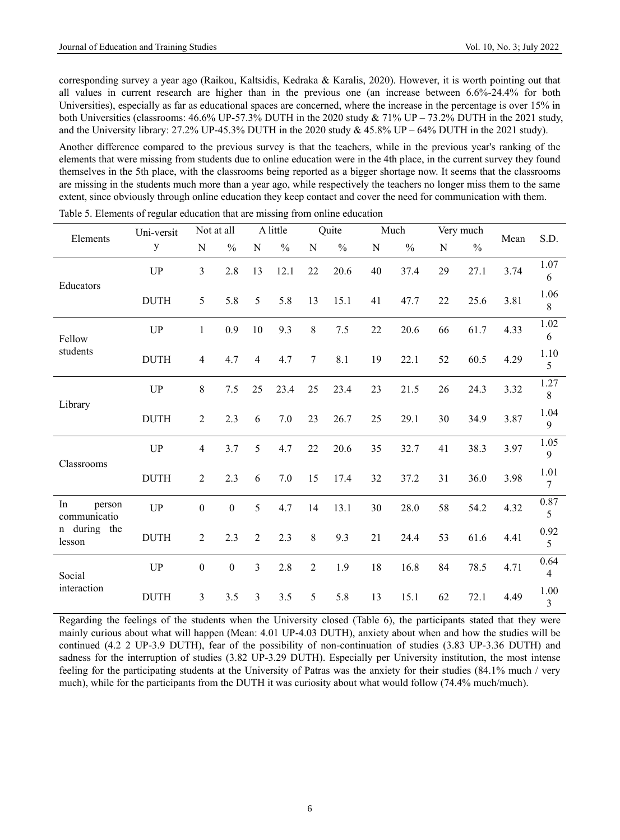corresponding survey a year ago (Raikou, Kaltsidis, Kedraka & Karalis, 2020). However, it is worth pointing out that all values in current research are higher than in the previous one (an increase between 6.6%-24.4% for both Universities), especially as far as educational spaces are concerned, where the increase in the percentage is over 15% in both Universities (classrooms: 46.6% UP-57.3% DUTH in the 2020 study & 71% UP – 73.2% DUTH in the 2021 study, and the University library:  $27.2\%$  UP-45.3% DUTH in the 2020 study  $& 45.8\%$  UP – 64% DUTH in the 2021 study).

Another difference compared to the previous survey is that the teachers, while in the previous year's ranking of the elements that were missing from students due to online education were in the 4th place, in the current survey they found themselves in the 5th place, with the classrooms being reported as a bigger shortage now. It seems that the classrooms are missing in the students much more than a year ago, while respectively the teachers no longer miss them to the same extent, since obviously through online education they keep contact and cover the need for communication with them.

| Elements                     | Uni-versit  |                  | Not at all    |                | A little      |                | Quite         |    | Much          | Very much |               | Mean | S.D.                   |
|------------------------------|-------------|------------------|---------------|----------------|---------------|----------------|---------------|----|---------------|-----------|---------------|------|------------------------|
|                              | у           | N                | $\frac{0}{0}$ | N              | $\frac{0}{0}$ | N              | $\frac{0}{0}$ | N  | $\frac{0}{0}$ | N         | $\frac{0}{0}$ |      |                        |
|                              | <b>UP</b>   | 3                | 2.8           | 13             | 12.1          | 22             | 20.6          | 40 | 37.4          | 29        | 27.1          | 3.74 | 1.07<br>6              |
| Educators                    | <b>DUTH</b> | 5                | 5.8           | 5              | 5.8           | 13             | 15.1          | 41 | 47.7          | 22        | 25.6          | 3.81 | 1.06<br>8              |
| Fellow                       | <b>UP</b>   | $\mathbf{1}$     | 0.9           | 10             | 9.3           | 8              | 7.5           | 22 | 20.6          | 66        | 61.7          | 4.33 | 1.02<br>6              |
| students                     | <b>DUTH</b> | $\overline{4}$   | 4.7           | 4              | 4.7           | $\tau$         | 8.1           | 19 | 22.1          | 52        | 60.5          | 4.29 | 1.10<br>5              |
|                              | <b>UP</b>   | $\,$ 8 $\,$      | 7.5           | 25             | 23.4          | 25             | 23.4          | 23 | 21.5          | 26        | 24.3          | 3.32 | 1.27<br>8              |
| Library                      | <b>DUTH</b> | $\overline{2}$   | 2.3           | 6              | 7.0           | 23             | 26.7          | 25 | 29.1          | 30        | 34.9          | 3.87 | 1.04<br>9              |
| Classrooms                   | <b>UP</b>   | $\overline{4}$   | 3.7           | 5              | 4.7           | 22             | 20.6          | 35 | 32.7          | 41        | 38.3          | 3.97 | 1.05<br>9              |
|                              | <b>DUTH</b> | $\overline{2}$   | 2.3           | 6              | 7.0           | 15             | 17.4          | 32 | 37.2          | 31        | 36.0          | 3.98 | 1.01<br>$\overline{7}$ |
| In<br>person<br>communicatio | UP          | $\mathbf{0}$     | $\mathbf{0}$  | 5              | 4.7           | 14             | 13.1          | 30 | 28.0          | 58        | 54.2          | 4.32 | $0.87\,$<br>5          |
| during the<br>n<br>lesson    | <b>DUTH</b> | $\overline{2}$   | 2.3           | $\overline{2}$ | 2.3           | 8              | 9.3           | 21 | 24.4          | 53        | 61.6          | 4.41 | 0.92<br>5              |
| Social                       | <b>UP</b>   | $\boldsymbol{0}$ | $\mathbf{0}$  | 3              | 2.8           | $\overline{2}$ | 1.9           | 18 | 16.8          | 84        | 78.5          | 4.71 | 0.64<br>$\overline{4}$ |
| interaction                  | <b>DUTH</b> | $\mathfrak{Z}$   | 3.5           | 3              | 3.5           | 5              | 5.8           | 13 | 15.1          | 62        | 72.1          | 4.49 | 1.00<br>3              |

Table 5. Elements of regular education that are missing from online education

Regarding the feelings of the students when the University closed (Table 6), the participants stated that they were mainly curious about what will happen (Mean: 4.01 UP-4.03 DUTH), anxiety about when and how the studies will be continued (4.2 2 UP-3.9 DUTH), fear of the possibility of non-continuation of studies (3.83 UP-3.36 DUTH) and sadness for the interruption of studies (3.82 UP-3.29 DUTH). Especially per University institution, the most intense feeling for the participating students at the University of Patras was the anxiety for their studies (84.1% much / very much), while for the participants from the DUTH it was curiosity about what would follow (74.4% much/much).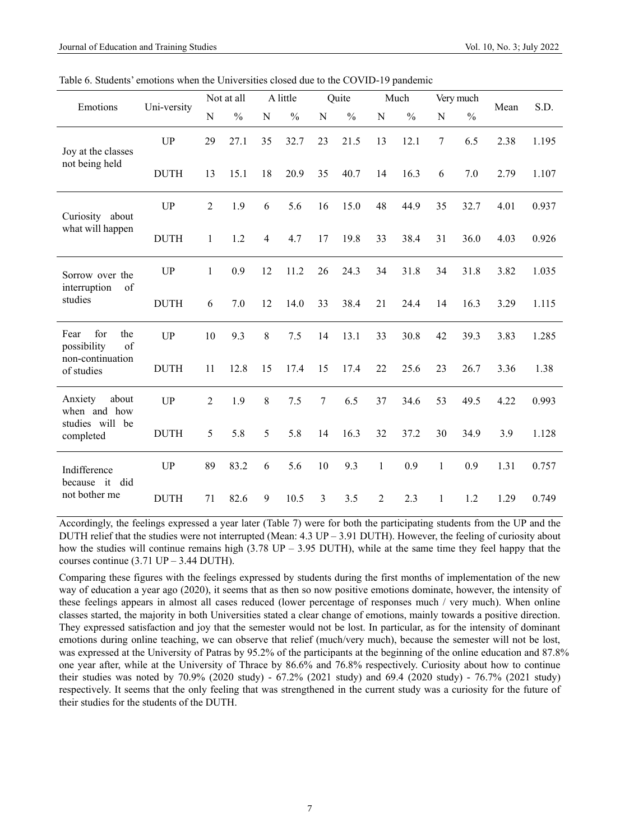Table 6. Students' emotions when the Universities closed due to the COVID-19 pandemic

| Emotions                                |             |                | Not at all    |                | A little      |                | Quite         |              | Much          |              | Very much     | Mean | S.D.  |
|-----------------------------------------|-------------|----------------|---------------|----------------|---------------|----------------|---------------|--------------|---------------|--------------|---------------|------|-------|
|                                         | Uni-versity | ${\bf N}$      | $\frac{0}{0}$ | N              | $\frac{0}{0}$ | N              | $\frac{0}{0}$ | N            | $\frac{0}{0}$ | N            | $\frac{0}{0}$ |      |       |
| Joy at the classes                      | <b>UP</b>   | 29             | 27.1          | 35             | 32.7          | 23             | 21.5          | 13           | 12.1          | 7            | 6.5           | 2.38 | 1.195 |
| not being held                          | <b>DUTH</b> | 13             | 15.1          | 18             | 20.9          | 35             | 40.7          | 14           | 16.3          | 6            | 7.0           | 2.79 | 1.107 |
| Curiosity about                         | <b>UP</b>   | 2              | 1.9           | 6              | 5.6           | 16             | 15.0          | 48           | 44.9          | 35           | 32.7          | 4.01 | 0.937 |
| what will happen                        | <b>DUTH</b> | $\mathbf{1}$   | 1.2           | $\overline{4}$ | 4.7           | 17             | 19.8          | 33           | 38.4          | 31           | 36.0          | 4.03 | 0.926 |
| Sorrow over the<br>interruption<br>of   | <b>UP</b>   | $\mathbf{1}$   | 0.9           | 12             | 11.2          | 26             | 24.3          | 34           | 31.8          | 34           | 31.8          | 3.82 | 1.035 |
| studies                                 | <b>DUTH</b> | 6              | 7.0           | 12             | 14.0          | 33             | 38.4          | 21           | 24.4          | 14           | 16.3          | 3.29 | 1.115 |
| for<br>Fear<br>the<br>possibility<br>of | <b>UP</b>   | 10             | 9.3           | 8              | 7.5           | 14             | 13.1          | 33           | 30.8          | 42           | 39.3          | 3.83 | 1.285 |
| non-continuation<br>of studies          | <b>DUTH</b> | 11             | 12.8          | 15             | 17.4          | 15             | 17.4          | 22           | 25.6          | 23           | 26.7          | 3.36 | 1.38  |
| Anxiety<br>about<br>when and how        | <b>UP</b>   | $\overline{2}$ | 1.9           | $8\,$          | 7.5           | $\overline{7}$ | 6.5           | 37           | 34.6          | 53           | 49.5          | 4.22 | 0.993 |
| studies will be<br>completed            | <b>DUTH</b> | 5              | 5.8           | 5              | 5.8           | 14             | 16.3          | 32           | 37.2          | 30           | 34.9          | 3.9  | 1.128 |
| Indifference<br>because it did          | <b>UP</b>   | 89             | 83.2          | 6              | 5.6           | 10             | 9.3           | $\mathbf{1}$ | 0.9           | $\mathbf{1}$ | 0.9           | 1.31 | 0.757 |
| not bother me                           | <b>DUTH</b> | 71             | 82.6          | 9              | 10.5          | 3              | 3.5           | 2            | 2.3           | 1            | 1.2           | 1.29 | 0.749 |

Accordingly, the feelings expressed a year later (Table 7) were for both the participating students from the UP and the DUTH relief that the studies were not interrupted (Mean: 4.3 UP – 3.91 DUTH). However, the feeling of curiosity about how the studies will continue remains high (3.78 UP – 3.95 DUTH), while at the same time they feel happy that the courses continue  $(3.71 \text{ UP} - 3.44 \text{ DUTH}).$ 

Comparing these figures with the feelings expressed by students during the first months of implementation of the new way of education a year ago (2020), it seems that as then so now positive emotions dominate, however, the intensity of these feelings appears in almost all cases reduced (lower percentage of responses much / very much). When online classes started, the majority in both Universities stated a clear change of emotions, mainly towards a positive direction. They expressed satisfaction and joy that the semester would not be lost. In particular, as for the intensity of dominant emotions during online teaching, we can observe that relief (much/very much), because the semester will not be lost, was expressed at the University of Patras by 95.2% of the participants at the beginning of the online education and 87.8% one year after, while at the University of Thrace by 86.6% and 76.8% respectively. Curiosity about how to continue their studies was noted by 70.9% (2020 study) - 67.2% (2021 study) and 69.4 (2020 study) - 76.7% (2021 study) respectively. It seems that the only feeling that was strengthened in the current study was a curiosity for the future of their studies for the students of the DUTH.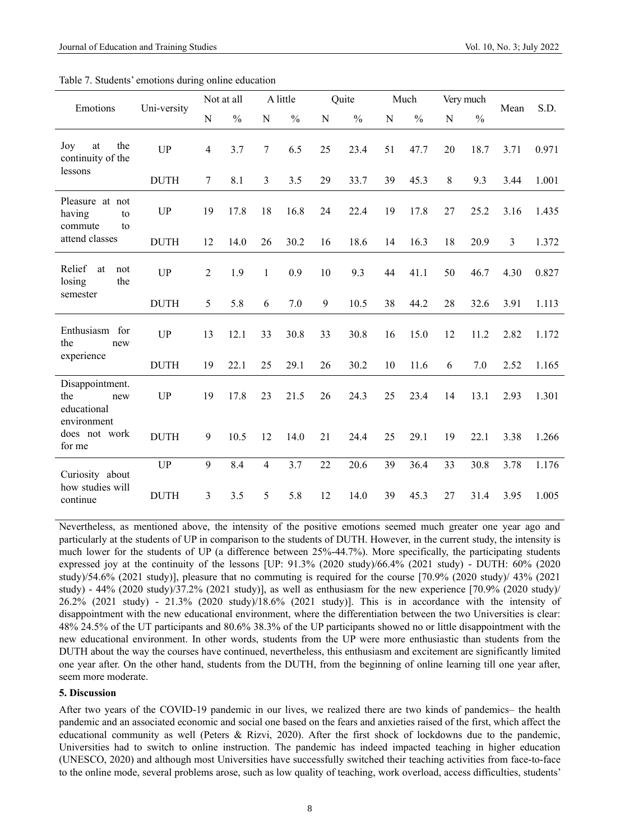| Emotions                                         | Uni-versity |                          | Not at all    |                | A little      |             | Quite         |    | Much          | Very much |               | Mean | S.D.  |
|--------------------------------------------------|-------------|--------------------------|---------------|----------------|---------------|-------------|---------------|----|---------------|-----------|---------------|------|-------|
|                                                  |             | ${\bf N}$                | $\frac{0}{0}$ | N              | $\frac{0}{0}$ | $\mathbf N$ | $\frac{0}{0}$ | N  | $\frac{0}{0}$ | N         | $\frac{0}{0}$ |      |       |
| the<br>Joy<br>at<br>continuity of the            | <b>UP</b>   | $\overline{\mathcal{A}}$ | 3.7           | $\overline{7}$ | 6.5           | 25          | 23.4          | 51 | 47.7          | 20        | 18.7          | 3.71 | 0.971 |
| lessons                                          | <b>DUTH</b> | 7                        | 8.1           | $\overline{3}$ | 3.5           | 29          | 33.7          | 39 | 45.3          | 8         | 9.3           | 3.44 | 1.001 |
| Pleasure at not<br>having<br>to<br>commute<br>to | <b>UP</b>   | 19                       | 17.8          | 18             | 16.8          | 24          | 22.4          | 19 | 17.8          | 27        | 25.2          | 3.16 | 1.435 |
| attend classes                                   | <b>DUTH</b> | 12                       | 14.0          | 26             | 30.2          | 16          | 18.6          | 14 | 16.3          | 18        | 20.9          | 3    | 1.372 |
| Relief<br>at<br>not<br>the<br>losing             | <b>UP</b>   | $\overline{2}$           | 1.9           | 1              | 0.9           | 10          | 9.3           | 44 | 41.1          | 50        | 46.7          | 4.30 | 0.827 |
| semester                                         | <b>DUTH</b> | 5                        | 5.8           | 6              | 7.0           | 9           | 10.5          | 38 | 44.2          | 28        | 32.6          | 3.91 | 1.113 |
| Enthusiasm for<br>the<br>new                     | <b>UP</b>   | 13                       | 12.1          | 33             | 30.8          | 33          | 30.8          | 16 | 15.0          | 12        | 11.2          | 2.82 | 1.172 |
| experience                                       | <b>DUTH</b> | 19                       | 22.1          | 25             | 29.1          | 26          | 30.2          | 10 | 11.6          | 6         | 7.0           | 2.52 | 1.165 |
| Disappointment.<br>the<br>new<br>educational     | <b>UP</b>   | 19                       | 17.8          | 23             | 21.5          | 26          | 24.3          | 25 | 23.4          | 14        | 13.1          | 2.93 | 1.301 |
| environment<br>does not work<br>for me           | <b>DUTH</b> | 9                        | 10.5          | 12             | 14.0          | 21          | 24.4          | 25 | 29.1          | 19        | 22.1          | 3.38 | 1.266 |
| Curiosity about                                  | <b>UP</b>   | 9                        | 8.4           | $\overline{4}$ | 3.7           | 22          | 20.6          | 39 | 36.4          | 33        | 30.8          | 3.78 | 1.176 |
| how studies will<br>continue                     | <b>DUTH</b> | 3                        | 3.5           | 5              | 5.8           | 12          | 14.0          | 39 | 45.3          | 27        | 31.4          | 3.95 | 1.005 |

Nevertheless, as mentioned above, the intensity of the positive emotions seemed much greater one year ago and particularly at the students of UP in comparison to the students of DUTH. However, in the current study, the intensity is much lower for the students of UP (a difference between 25%-44.7%). More specifically, the participating students expressed joy at the continuity of the lessons [UP: 91.3% (2020 study)/66.4% (2021 study) - DUTH: 60% (2020 study)/54.6% (2021 study)], pleasure that no commuting is required for the course [70.9% (2020 study)/ 43% (2021 study) - 44% (2020 study)/37.2% (2021 study)], as well as enthusiasm for the new experience [70.9% (2020 study)/ 26.2% (2021 study) - 21.3% (2020 study)/18.6% (2021 study)]. This is in accordance with the intensity of disappointment with the new educational environment, where the differentiation between the two Universities is clear: 48% 24.5% of the UT participants and 80.6% 38.3% of the UP participants showed no or little disappointment with the new educational environment. In other words, students from the UP were more enthusiastic than students from the DUTH about the way the courses have continued, nevertheless, this enthusiasm and excitement are significantly limited one year after. On the other hand, students from the DUTH, from the beginning of online learning till one year after, seem more moderate.

### **5. Discussion**

After two years of the COVID-19 pandemic in our lives, we realized there are two kinds of pandemics– the health pandemic and an associated economic and social one based on the fears and anxieties raised of the first, which affect the educational community as well (Peters & Rizvi, 2020). After the first shock of lockdowns due to the pandemic, Universities had to switch to online instruction. The pandemic has indeed impacted teaching in higher education (UNESCO, 2020) and although most Universities have successfully switched their teaching activities from face-to-face to the online mode, several problems arose, such as low quality of teaching, work overload, access difficulties, students'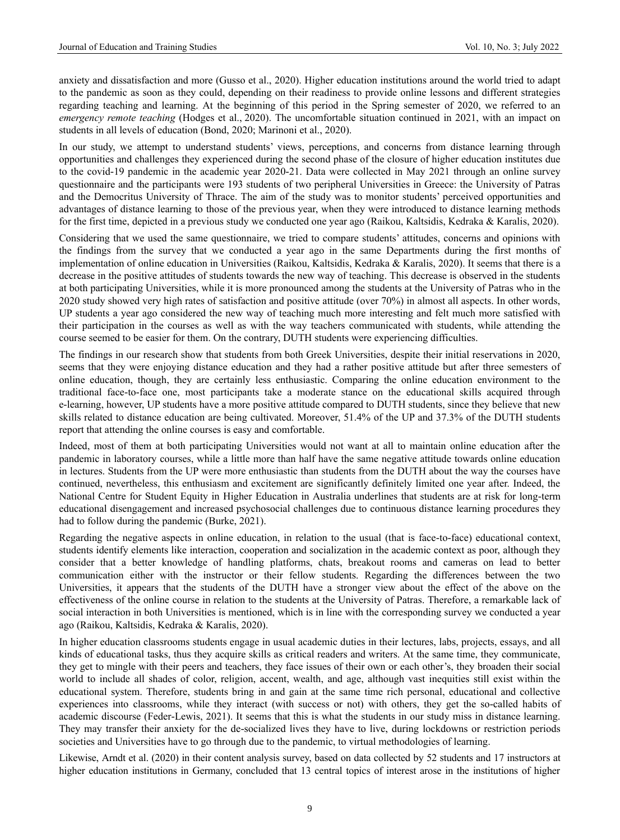anxiety and dissatisfaction and more (Gusso et al., 2020). Higher education institutions around the world tried to adapt to the pandemic as soon as they could, depending on their readiness to provide online lessons and different strategies regarding teaching and learning. At the beginning of this period in the Spring semester of 2020, we referred to an *emergency remote teaching* (Hodges et al., 2020). The uncomfortable situation continued in 2021, with an impact on students in all levels of education (Bond, 2020; Marinoni et al., 2020).

In our study, we attempt to understand students' views, perceptions, and concerns from distance learning through opportunities and challenges they experienced during the second phase of the closure of higher education institutes due to the covid-19 pandemic in the academic year 2020-21. Data were collected in May 2021 through an online survey questionnaire and the participants were 193 students of two peripheral Universities in Greece: the University of Patras and the Democritus University of Thrace. The aim of the study was to monitor students' perceived opportunities and advantages of distance learning to those of the previous year, when they were introduced to distance learning methods for the first time, depicted in a previous study we conducted one year ago (Raikou, Kaltsidis, Kedraka & Karalis, 2020).

Considering that we used the same questionnaire, we tried to compare students' attitudes, concerns and opinions with the findings from the survey that we conducted a year ago in the same Departments during the first months of implementation of online education in Universities (Raikou, Kaltsidis, Kedraka & Karalis, 2020). It seems that there is a decrease in the positive attitudes of students towards the new way of teaching. This decrease is observed in the students at both participating Universities, while it is more pronounced among the students at the University of Patras who in the 2020 study showed very high rates of satisfaction and positive attitude (over 70%) in almost all aspects. In other words, UP students a year ago considered the new way of teaching much more interesting and felt much more satisfied with their participation in the courses as well as with the way teachers communicated with students, while attending the course seemed to be easier for them. On the contrary, DUTH students were experiencing difficulties.

The findings in our research show that students from both Greek Universities, despite their initial reservations in 2020, seems that they were enjoying distance education and they had a rather positive attitude but after three semesters of online education, though, they are certainly less enthusiastic. Comparing the online education environment to the traditional face-to-face one, most participants take a moderate stance on the educational skills acquired through e-learning, however, UP students have a more positive attitude compared to DUTH students, since they believe that new skills related to distance education are being cultivated. Moreover, 51.4% of the UP and 37.3% of the DUTH students report that attending the online courses is easy and comfortable.

Indeed, most of them at both participating Universities would not want at all to maintain online education after the pandemic in laboratory courses, while a little more than half have the same negative attitude towards online education in lectures. Students from the UP were more enthusiastic than students from the DUTH about the way the courses have continued, nevertheless, this enthusiasm and excitement are significantly definitely limited one year after. Indeed, the National Centre for Student Equity in Higher Education in Australia underlines that students are at risk for long-term educational disengagement and increased psychosocial challenges due to continuous distance learning procedures they had to follow during the pandemic (Burke, 2021).

Regarding the negative aspects in online education, in relation to the usual (that is face-to-face) educational context, students identify elements like interaction, cooperation and socialization in the academic context as poor, although they consider that a better knowledge of handling platforms, chats, breakout rooms and cameras on lead to better communication either with the instructor or their fellow students. Regarding the differences between the two Universities, it appears that the students of the DUTH have a stronger view about the effect of the above on the effectiveness of the online course in relation to the students at the University of Patras. Therefore, a remarkable lack of social interaction in both Universities is mentioned, which is in line with the corresponding survey we conducted a year ago (Raikou, Kaltsidis, Kedraka & Karalis, 2020).

In higher education classrooms students engage in usual academic duties in their lectures, labs, projects, essays, and all kinds of educational tasks, thus they acquire skills as critical readers and writers. At the same time, they communicate, they get to mingle with their peers and teachers, they face issues of their own or each other's, they broaden their social world to include all shades of color, religion, accent, wealth, and age, although vast inequities still exist within the educational system. Therefore, students bring in and gain at the same time rich personal, educational and collective experiences into classrooms, while they interact (with success or not) with others, they get the so-called habits of academic discourse (Feder-Lewis, 2021). It seems that this is what the students in our study miss in distance learning. They may transfer their anxiety for the de-socialized lives they have to live, during lockdowns or restriction periods societies and Universities have to go through due to the pandemic, to virtual methodologies of learning.

Likewise, Arndt et al. (2020) in their content analysis survey, based on data collected by 52 students and 17 instructors at higher education institutions in Germany, concluded that 13 central topics of interest arose in the institutions of higher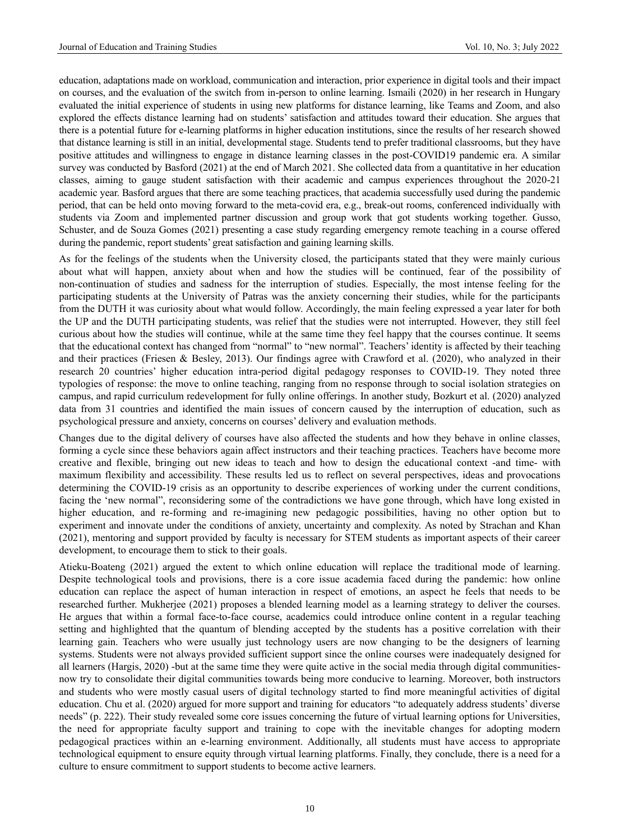education, adaptations made on workload, communication and interaction, prior experience in digital tools and their impact on courses, and the evaluation of the switch from in-person to online learning. Ismaili (2020) in her research in Hungary evaluated the initial experience of students in using new platforms for distance learning, like Teams and Zoom, and also explored the effects distance learning had on students' satisfaction and attitudes toward their education. She argues that there is a potential future for e-learning platforms in higher education institutions, since the results of her research showed that distance learning is still in an initial, developmental stage. Students tend to prefer traditional classrooms, but they have positive attitudes and willingness to engage in distance learning classes in the post-COVID19 pandemic era. A similar survey was conducted by Basford (2021) at the end of March 2021. She collected data from a quantitative in her education classes, aiming to gauge student satisfaction with their academic and campus experiences throughout the 2020-21 academic year. Basford argues that there are some teaching practices, that academia successfully used during the pandemic period, that can be held onto moving forward to the meta-covid era, e.g., break-out rooms, conferenced individually with students via Zoom and implemented partner discussion and group work that got students working together. Gusso, Schuster, and de Souza Gomes (2021) presenting a case study regarding emergency remote teaching in a course offered during the pandemic, report students' great satisfaction and gaining learning skills.

As for the feelings of the students when the University closed, the participants stated that they were mainly curious about what will happen, anxiety about when and how the studies will be continued, fear of the possibility of non-continuation of studies and sadness for the interruption of studies. Especially, the most intense feeling for the participating students at the University of Patras was the anxiety concerning their studies, while for the participants from the DUTH it was curiosity about what would follow. Accordingly, the main feeling expressed a year later for both the UP and the DUTH participating students, was relief that the studies were not interrupted. However, they still feel curious about how the studies will continue, while at the same time they feel happy that the courses continue. It seems that the educational context has changed from "normal" to "new normal". Teachers' identity is affected by their teaching and their practices (Friesen & Besley, 2013). Our findings agree with Crawford et al. [\(2020\)](https://educationaltechnologyjournal.springeropen.com/articles/10.1186/s41239-021-00282-x#ref-CR29), who analyzed in their research 20 countries' higher education intra-period digital pedagogy responses to COVID-19. They noted three typologies of response: the move to online teaching, ranging from no response through to social isolation strategies on campus, and rapid curriculum redevelopment for fully online offerings. In another study, Bozkurt et al. [\(2020\)](https://educationaltechnologyjournal.springeropen.com/articles/10.1186/s41239-021-00282-x#ref-CR22) analyzed data from 31 countries and identified the main issues of concern caused by the interruption of education, such as psychological pressure and anxiety, concerns on courses' delivery and evaluation methods.

Changes due to the digital delivery of courses have also affected the students and how they behave in online classes, forming a cycle since these behaviors again affect instructors and their teaching practices. Teachers have become more creative and flexible, bringing out new ideas to teach and how to design the educational context -and time- with maximum flexibility and accessibility. These results led us to reflect on several perspectives, ideas and provocations determining the COVID-19 crisis as an opportunity to describe experiences of working under the current conditions, facing the 'new normal", reconsidering some of the contradictions we have gone through, which have long existed in higher education, and re-forming and re-imagining new pedagogic possibilities, having no other option but to experiment and innovate under the conditions of anxiety, uncertainty and complexity. As noted by Strachan and Khan (2021), mentoring and support provided by faculty is necessary for STEM students as important aspects of their career development, to encourage them to stick to their goals.

Atieku-Boateng (2021) argued the extent to which online education will replace the traditional mode of learning. Despite technological tools and provisions, there is a core issue academia faced during the pandemic: how online education can replace the aspect of human interaction in respect of emotions, an aspect he feels that needs to be researched further. Mukherjee (2021) proposes a blended learning model as a learning strategy to deliver the courses. He argues that within a formal face-to-face course, academics could introduce online content in a regular teaching setting and highlighted that the quantum of blending accepted by the students has a positive correlation with their learning gain. Teachers who were usually just technology users are now changing to be the designers of learning systems. Students were not always provided sufficient support since the online courses were inadequately designed for all learners (Hargis, 2020) -but at the same time they were quite active in the social media through digital communitiesnow try to consolidate their digital communities towards being more conducive to learning. Moreover, both instructors and students who were mostly casual users of digital technology started to find more meaningful activities of digital education. Chu et al. (2020) argued for more support and training for educators "to adequately address students' diverse needs" (p. 222). Their study revealed some core issues concerning the future of virtual learning options for Universities, the need for appropriate faculty support and training to cope with the inevitable changes for adopting modern pedagogical practices within an e-learning environment. Additionally, all students must have access to appropriate technological equipment to ensure equity through virtual learning platforms. Finally, they conclude, there is a need for a culture to ensure commitment to support students to become active learners.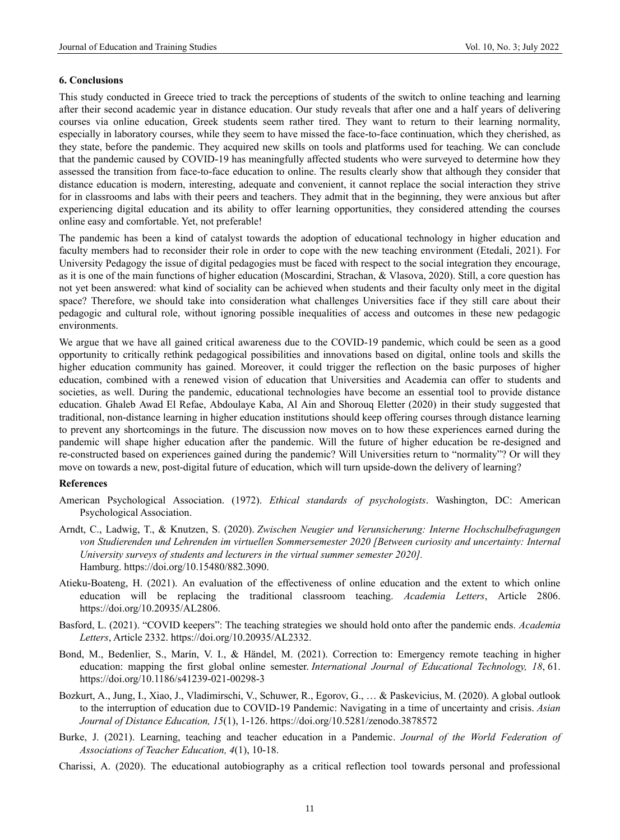## **6. Conclusions**

This study conducted in Greece tried to track the perceptions of students of the switch to online teaching and learning after their second academic year in distance education. Our study reveals that after one and a half years of delivering courses via online education, Greek students seem rather tired. They want to return to their learning normality, especially in laboratory courses, while they seem to have missed the face-to-face continuation, which they cherished, as they state, before the pandemic. They acquired new skills on tools and platforms used for teaching. We can conclude that the pandemic caused by COVID-19 has meaningfully affected students who were surveyed to determine how they assessed the transition from face-to-face education to online. The results clearly show that although they consider that distance education is modern, interesting, adequate and convenient, it cannot replace the social interaction they strive for in classrooms and labs with their peers and teachers. They admit that in the beginning, they were anxious but after experiencing digital education and its ability to offer learning opportunities, they considered attending the courses online easy and comfortable. Yet, not preferable!

Τhe pandemic has been a kind of catalyst towards the adoption of educational technology in higher education and faculty members had to reconsider their role in order to cope with the new teaching environment (Etedali, 2021). For University Pedagogy the issue of digital pedagogies must be faced with respect to the social integration they encourage, as it is one of the main functions of higher education (Moscardini, Strachan, & Vlasova, 2020). Still, a core question has not yet been answered: what kind of sociality can be achieved when students and their faculty only meet in the digital space? Therefore, we should take into consideration what challenges Universities face if they still care about their pedagogic and cultural role, without ignoring possible inequalities of access and outcomes in these new pedagogic environments.

We argue that we have all gained critical awareness due to the COVID-19 pandemic, which could be seen as a good opportunity to critically rethink pedagogical possibilities and innovations based on digital, online tools and skills the higher education community has gained. Moreover, it could trigger the reflection on the basic purposes of higher education, combined with a renewed vision of education that Universities and Academia can offer to students and societies, as well. During the pandemic, educational technologies have become an essential tool to provide distance education. Ghaleb Awad El Refae, Abdoulaye Kaba, Al Ain and Shorouq Eletter (2020) in their study suggested that traditional, non-distance learning in higher education institutions should keep offering courses through distance learning to prevent any shortcomings in the future. The discussion now moves on to how these experiences earned during the pandemic will shape higher education after the pandemic. Will the future of higher education be re-designed and re-constructed based on experiences gained during the pandemic? Will Universities return to "normality"? Or will they move on towards a new, post-digital future of education, which will turn upside-down the delivery of learning?

#### **References**

- American Psychological Association. (1972). *Ethical standards of psychologists*. Washington, DC: American Psychological Association.
- Arndt, C., Ladwig, T., & Knutzen, S. (2020). *Zwischen Neugier und Verunsicherung: Interne Hochschulbefragungen von Studierenden und Lehrenden im virtuellen Sommersemester 2020 [Between curiosity and uncertainty: Internal University surveys of students and lecturers in the virtual summer semester 2020].*  Hamburg. [https://doi.org/10.15480/882.3090.](https://doi.org/10.15480/882.3090)
- Atieku-Boateng, H. (2021). An evaluation of the effectiveness of online education and the extent to which online education will be replacing the traditional classroom teaching. *Academia Letters*, Article 2806. [https://doi.org/10.20935/AL2806.](https://doi.org/10.20935/AL2806)
- Basford, L. (2021). "COVID keepers": The teaching strategies we should hold onto after the pandemic ends. *Academia Letters*, Article 2332. https://doi.org/10.20935/AL2332.
- Bond, M., Bedenlier, S., Marín, V. I., & Händel, M. (2021). Correction to: Emergency remote teaching in higher education: mapping the first global online semester. *International Journal of Educational Technology, 18*, 61. https://doi.org/10.1186/s41239-021-00298-3
- Bozkurt, A., Jung, I., Xiao, J., Vladimirschi, V., Schuwer, R., Egorov, G., … & Paskevicius, M. (2020). A global outlook to the interruption of education due to COVID-19 Pandemic: Navigating in a time of uncertainty and crisis. *Asian Journal of Distance Education, 15*(1), 1-126. https://doi.org[/10.5281/zenodo.3878572](https://doi.org/10.5281/zenodo.3878572)
- Burke, J. (2021). Learning, teaching and teacher education in a Pandemic. *Journal of the World Federation of Associations of Teacher Education, 4*(1), 10-18.
- Charissi, A. (2020). The educational autobiography as a critical reflection tool towards personal and professional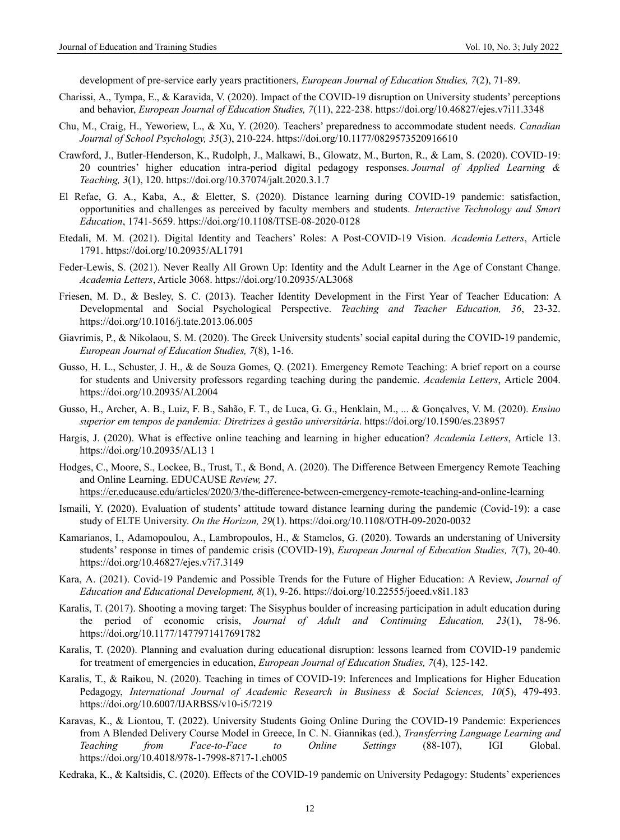development of pre-service early years practitioners, *European Journal of Education Studies, 7*(2), 71-89.

- Charissi, A., Tympa, E., & Karavida, V. (2020). Impact of the COVID-19 disruption on University students' perceptions and behavior, *European Journal of Education Studies, 7*(11), 222-238.<https://doi.org/10.46827/ejes.v7i11.3348>
- Chu, M., Craig, H., Yeworiew, L., & Xu, Y. (2020). Teachers' preparedness to accommodate student needs. *Canadian Journal of School Psychology, 35*(3), 210-224.<https://doi.org/10.1177/0829573520916610>
- Crawford, J., Butler-Henderson, K., Rudolph, J., Malkawi, B., Glowatz, M., Burton, R., & Lam, S. (2020). COVID-19: 20 countries' higher education intra-period digital pedagogy responses. *Journal of Applied Learning & Teaching, 3*(1), 120[. https://doi.org/10.37074/jalt.2020.3.1.7](https://doi.org/10.37074/jalt.2020.3.1.7)
- El Refae, G. A., Kaba, A., & Eletter, S. (2020). Distance learning during COVID-19 pandemic: satisfaction, opportunities and challenges as perceived by faculty members and students. *Interactive Technology and Smart Education*, 1741-5659. https://doi.org/10.1108/ITSE-08-2020-0128
- Etedali, M. M. (2021). Digital Identity and Teachers' Roles: A Post-COVID-19 Vision. *Academia Letters*, Article 1791. https://doi.org/10.20935/AL1791
- Feder-Lewis, S. (2021). Never Really All Grown Up: Identity and the Adult Learner in the Age of Constant Change. *Academia Letters*, Article 3068[. https://doi.org/10.20935/AL3068](https://doi.org/10.20935/AL3068)
- Friesen, M. D., & Besley, S. C. (2013). Teacher Identity Development in the First Year of Teacher Education: A Developmental and Social Psychological Perspective. *Teaching and Teacher Education, 36*, 23-32. <https://doi.org/10.1016/j.tate.2013.06.005>
- Giavrimis, P., & Nikolaou, S. M. (2020). The Greek University students' social capital during the COVID-19 pandemic, *European Journal of Education Studies, 7*(8), 1-16.
- Gusso, H. L., Schuster, J. H., & de Souza Gomes, Q. (2021). Emergency Remote Teaching: A brief report on a course for students and University professors regarding teaching during the pandemic. *Academia Letters*, Article 2004. https://doi.org/10.20935/AL2004
- Gusso, H., Archer, A. B., Luiz, F. B., Sahão, F. T., de Luca, G. G., Henklain, M., ... & Gonçalves, V. M. (2020). *Ensino superior em tempos de pandemia: Diretrizes à gestão universitária*. <https://doi.org/10.1590/es.238957>
- Hargis, J. (2020). What is effective online teaching and learning in higher education? *Academia Letters*, Article 13. https://doi.org/10.20935/AL13 1
- Hodges, C., Moore, S., Lockee, B., Trust, T., & Bond, A. (2020). The Difference Between Emergency Remote Teaching and Online Learning. EDUCAUSE *Review, 27*.
- <https://er.educause.edu/articles/2020/3/the-difference-between-emergency-remote-teaching-and-online-learning>
- Ismaili, Y. (2020). Evaluation of students' attitude toward distance learning during the pandemic (Covid-19): a case study of ELTE University. *On the Horizon, 29*(1). https://doi.org/10.1108/OTH-09-2020-0032
- Kamarianos, I., Adamopoulou, A., Lambropoulos, H., & Stamelos, G. (2020). Towards an understaning of University students' response in times of pandemic crisis (COVID-19), *European Journal of Education Studies, 7*(7), 20-40. <https://doi.org/10.46827/ejes.v7i7.3149>
- Kara, A. (2021). Covid-19 Pandemic and Possible Trends for the Future of Higher Education: A Review, *Journal of Education and Educational Development, 8*(1), 9-26.<https://doi.org/10.22555/joeed.v8i1.183>
- Karalis, T. (2017). Shooting a moving target: The Sisyphus boulder of increasing participation in adult education during the period of economic crisis, *Journal of Adult and Continuing Education, 23*(1), 78-96. <https://doi.org/10.1177/1477971417691782>
- Karalis, T. (2020). Planning and evaluation during educational disruption: lessons learned from COVID-19 pandemic for treatment of emergencies in education, *European Journal of Education Studies, 7*(4), 125-142.
- Karalis, T., & Raikou, N. (2020). Teaching in times of COVID-19: Inferences and Implications for Higher Education Pedagogy, *International Journal of Academic Research in Business & Social Sciences, 10*(5), 479-493. <https://doi.org/10.6007/IJARBSS/v10-i5/7219>
- Karavas, K., & Liontou, T. (2022). University Students Going Online During the COVID-19 Pandemic: Experiences from A Blended Delivery Course Model in Greece, In C. N. Giannikas (ed.), *Transferring Language Learning and Teaching from Face-to-Face to Online Settings* (88-107), IGI Global. https://doi.org/10.4018/978-1-7998-8717-1.ch005
- Kedraka, K., & Kaltsidis, C. (2020). Effects of the COVID-19 pandemic on University Pedagogy: Students' experiences